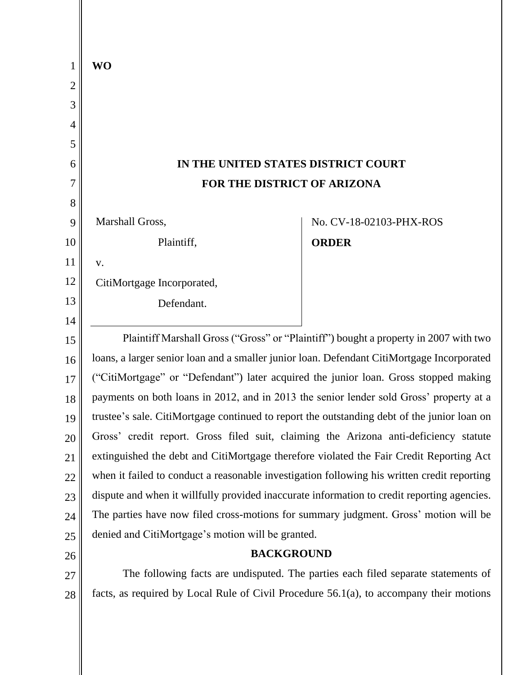| 1              | <b>WO</b>                                                                                   |                         |
|----------------|---------------------------------------------------------------------------------------------|-------------------------|
| $\overline{2}$ |                                                                                             |                         |
| 3              |                                                                                             |                         |
| 4              |                                                                                             |                         |
| 5              |                                                                                             |                         |
| 6              | IN THE UNITED STATES DISTRICT COURT                                                         |                         |
| 7              | FOR THE DISTRICT OF ARIZONA                                                                 |                         |
| 8              |                                                                                             |                         |
| 9              | Marshall Gross,                                                                             | No. CV-18-02103-PHX-ROS |
| 10             | Plaintiff,                                                                                  | <b>ORDER</b>            |
| 11             | V.                                                                                          |                         |
| 12             | CitiMortgage Incorporated,                                                                  |                         |
| 13             | Defendant.                                                                                  |                         |
| 14             |                                                                                             |                         |
| 15             | Plaintiff Marshall Gross ("Gross" or "Plaintiff") bought a property in 2007 with two        |                         |
| 16             | loans, a larger senior loan and a smaller junior loan. Defendant CitiMortgage Incorporated  |                         |
| 17             | ("CitiMortgage" or "Defendant") later acquired the junior loan. Gross stopped making        |                         |
| 18             | payments on both loans in 2012, and in 2013 the senior lender sold Gross' property at a     |                         |
| 19             | trustee's sale. CitiMortgage continued to report the outstanding debt of the junior loan on |                         |
| 20             | Gross' credit report. Gross filed suit, claiming the Arizona anti-deficiency statute        |                         |
| 21             | extinguished the debt and CitiMortgage therefore violated the Fair Credit Reporting Act     |                         |
| 22             | when it failed to conduct a reasonable investigation following his written credit reporting |                         |
| 23             | dispute and when it willfully provided inaccurate information to credit reporting agencies. |                         |
| 24             | The parties have now filed cross-motions for summary judgment. Gross' motion will be        |                         |
| 25             | denied and CitiMortgage's motion will be granted.                                           |                         |
| 26             | <b>BACKGROUND</b>                                                                           |                         |
| 27             | The following facts are undisputed. The parties each filed separate statements of           |                         |
| 28             | facts, as required by Local Rule of Civil Procedure $56.1(a)$ , to accompany their motions  |                         |
|                |                                                                                             |                         |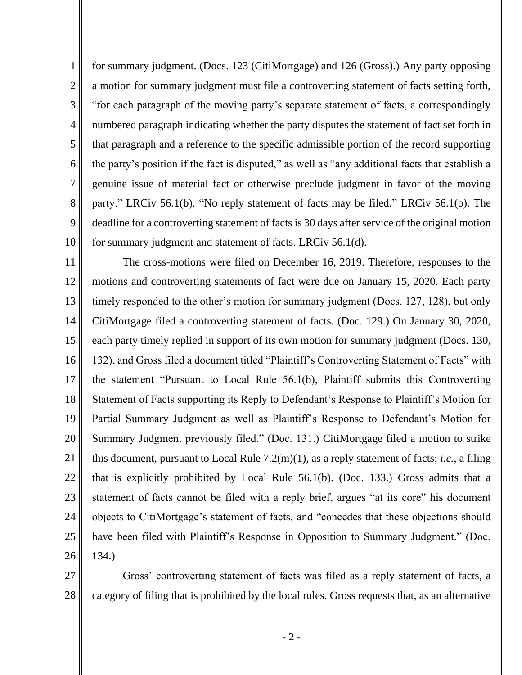1 2 3 4 5 6 7 8 9 10 for summary judgment. (Docs. 123 (CitiMortgage) and 126 (Gross).) Any party opposing a motion for summary judgment must file a controverting statement of facts setting forth, "for each paragraph of the moving party's separate statement of facts, a correspondingly numbered paragraph indicating whether the party disputes the statement of fact set forth in that paragraph and a reference to the specific admissible portion of the record supporting the party's position if the fact is disputed," as well as "any additional facts that establish a genuine issue of material fact or otherwise preclude judgment in favor of the moving party." LRCiv 56.1(b). "No reply statement of facts may be filed." LRCiv 56.1(b). The deadline for a controverting statement of facts is 30 days after service of the original motion for summary judgment and statement of facts. LRCiv 56.1(d).

11 12 13 14 15 16 17 18 19 20 21 22 23 24 25 26 The cross-motions were filed on December 16, 2019. Therefore, responses to the motions and controverting statements of fact were due on January 15, 2020. Each party timely responded to the other's motion for summary judgment (Docs. 127, 128), but only CitiMortgage filed a controverting statement of facts. (Doc. 129.) On January 30, 2020, each party timely replied in support of its own motion for summary judgment (Docs. 130, 132), and Gross filed a document titled "Plaintiff's Controverting Statement of Facts" with the statement "Pursuant to Local Rule 56.1(b), Plaintiff submits this Controverting Statement of Facts supporting its Reply to Defendant's Response to Plaintiff's Motion for Partial Summary Judgment as well as Plaintiff's Response to Defendant's Motion for Summary Judgment previously filed." (Doc. 131.) CitiMortgage filed a motion to strike this document, pursuant to Local Rule 7.2(m)(1), as a reply statement of facts; *i.e.*, a filing that is explicitly prohibited by Local Rule 56.1(b). (Doc. 133.) Gross admits that a statement of facts cannot be filed with a reply brief, argues "at its core" his document objects to CitiMortgage's statement of facts, and "concedes that these objections should have been filed with Plaintiff's Response in Opposition to Summary Judgment." (Doc. 134.)

27 28 Gross' controverting statement of facts was filed as a reply statement of facts, a category of filing that is prohibited by the local rules. Gross requests that, as an alternative

- 2 -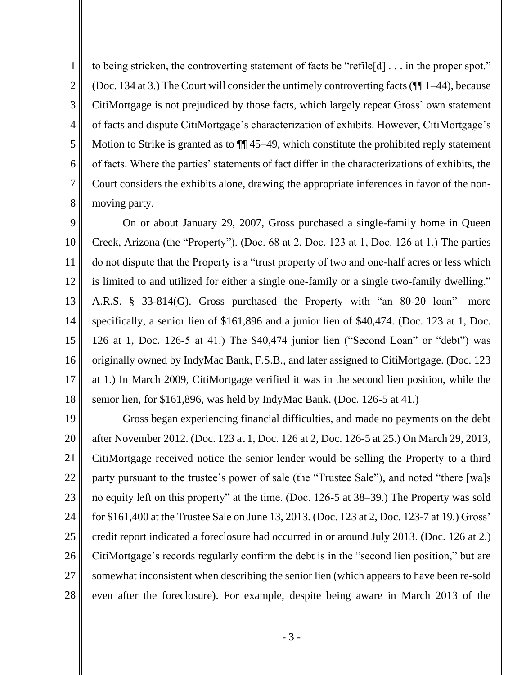6 7 to being stricken, the controverting statement of facts be "refile[d] . . . in the proper spot." (Doc. 134 at 3.) The Court will consider the untimely controverting facts (¶¶ 1–44), because CitiMortgage is not prejudiced by those facts, which largely repeat Gross' own statement of facts and dispute CitiMortgage's characterization of exhibits. However, CitiMortgage's Motion to Strike is granted as to  $\P$  45–49, which constitute the prohibited reply statement of facts. Where the parties' statements of fact differ in the characterizations of exhibits, the Court considers the exhibits alone, drawing the appropriate inferences in favor of the nonmoving party.

9 10 11 12 13 14 15 16 17 18 On or about January 29, 2007, Gross purchased a single-family home in Queen Creek, Arizona (the "Property"). (Doc. 68 at 2, Doc. 123 at 1, Doc. 126 at 1.) The parties do not dispute that the Property is a "trust property of two and one-half acres or less which is limited to and utilized for either a single one-family or a single two-family dwelling." A.R.S. § 33-814(G). Gross purchased the Property with "an 80-20 loan"—more specifically, a senior lien of \$161,896 and a junior lien of \$40,474. (Doc. 123 at 1, Doc. 126 at 1, Doc. 126-5 at 41.) The \$40,474 junior lien ("Second Loan" or "debt") was originally owned by IndyMac Bank, F.S.B., and later assigned to CitiMortgage. (Doc. 123 at 1.) In March 2009, CitiMortgage verified it was in the second lien position, while the senior lien, for \$161,896, was held by IndyMac Bank. (Doc. 126-5 at 41.)

19 20 21 22 23 24 25 26 27 28 Gross began experiencing financial difficulties, and made no payments on the debt after November 2012. (Doc. 123 at 1, Doc. 126 at 2, Doc. 126-5 at 25.) On March 29, 2013, CitiMortgage received notice the senior lender would be selling the Property to a third party pursuant to the trustee's power of sale (the "Trustee Sale"), and noted "there [wa]s no equity left on this property" at the time. (Doc. 126-5 at 38–39.) The Property was sold for \$161,400 at the Trustee Sale on June 13, 2013. (Doc. 123 at 2, Doc. 123-7 at 19.) Gross' credit report indicated a foreclosure had occurred in or around July 2013. (Doc. 126 at 2.) CitiMortgage's records regularly confirm the debt is in the "second lien position," but are somewhat inconsistent when describing the senior lien (which appears to have been re-sold even after the foreclosure). For example, despite being aware in March 2013 of the

1

2

3

4

5

8

- 3 -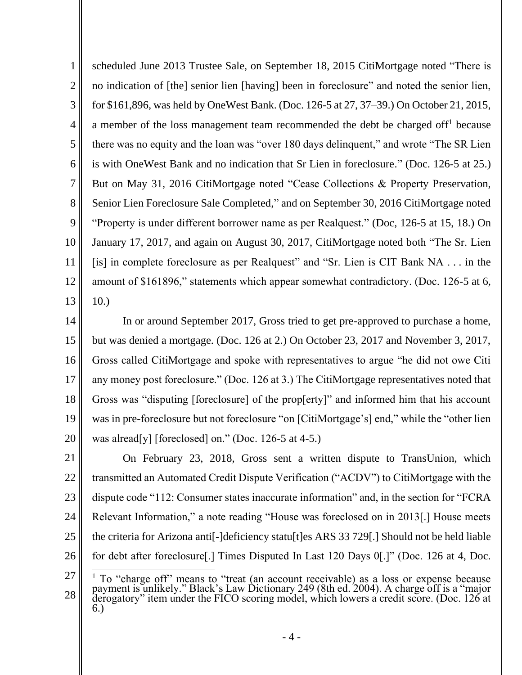1 2 3 4 5 6 7 8 9 10 11 12 13 scheduled June 2013 Trustee Sale, on September 18, 2015 CitiMortgage noted "There is no indication of [the] senior lien [having] been in foreclosure" and noted the senior lien, for \$161,896, was held by OneWest Bank. (Doc. 126-5 at 27, 37–39.) On October 21, 2015, a member of the loss management team recommended the debt be charged off<sup>1</sup> because there was no equity and the loan was "over 180 days delinquent," and wrote "The SR Lien is with OneWest Bank and no indication that Sr Lien in foreclosure." (Doc. 126-5 at 25.) But on May 31, 2016 CitiMortgage noted "Cease Collections & Property Preservation, Senior Lien Foreclosure Sale Completed," and on September 30, 2016 CitiMortgage noted "Property is under different borrower name as per Realquest." (Doc, 126-5 at 15, 18.) On January 17, 2017, and again on August 30, 2017, CitiMortgage noted both "The Sr. Lien [is] in complete foreclosure as per Realquest" and "Sr. Lien is CIT Bank NA . . . in the amount of \$161896," statements which appear somewhat contradictory. (Doc. 126-5 at 6, 10.)

14 15 16 17 18 19 20 In or around September 2017, Gross tried to get pre-approved to purchase a home, but was denied a mortgage. (Doc. 126 at 2.) On October 23, 2017 and November 3, 2017, Gross called CitiMortgage and spoke with representatives to argue "he did not owe Citi any money post foreclosure." (Doc. 126 at 3.) The CitiMortgage representatives noted that Gross was "disputing [foreclosure] of the prop[erty]" and informed him that his account was in pre-foreclosure but not foreclosure "on [CitiMortgage's] end," while the "other lien was alread[y] [foreclosed] on." (Doc. 126-5 at 4-5.)

21 22 23 24 25 26 On February 23, 2018, Gross sent a written dispute to TransUnion, which transmitted an Automated Credit Dispute Verification ("ACDV") to CitiMortgage with the dispute code "112: Consumer states inaccurate information" and, in the section for "FCRA Relevant Information," a note reading "House was foreclosed on in 2013[.] House meets the criteria for Arizona anti[-]deficiency statu[t]es ARS 33 729[.] Should not be held liable for debt after foreclosure[.] Times Disputed In Last 120 Days 0[.]" (Doc. 126 at 4, Doc.

<sup>27</sup> 28 <sup>1</sup> To "charge off" means to "treat (an account receivable) as a loss or expense because payment is unlikely." Black's Law Dictionary 249 (8th ed. 2004). A charge off is a "major derogatory" item under the FICO scoring model, which lowers a credit score. (Doc. 126 at 6.)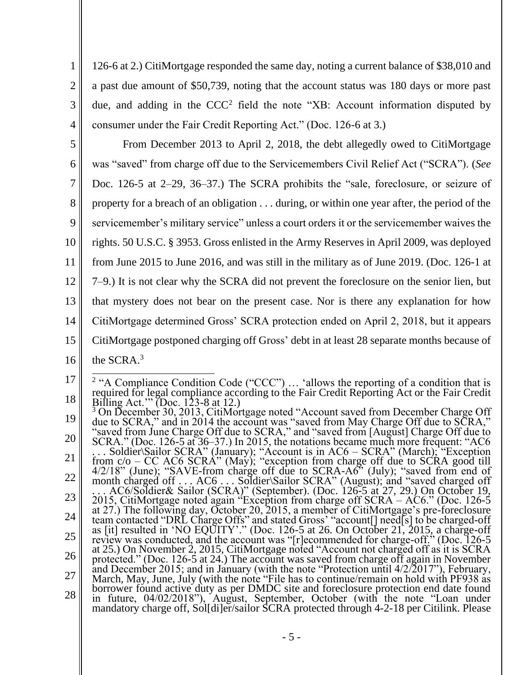126-6 at 2.) CitiMortgage responded the same day, noting a current balance of \$38,010 and a past due amount of \$50,739, noting that the account status was 180 days or more past due, and adding in the  $CCC<sup>2</sup>$  field the note "XB: Account information disputed by consumer under the Fair Credit Reporting Act." (Doc. 126-6 at 3.)

1

2

3

4

5 6 7 8 9 10 11 12 13 14 15 16 From December 2013 to April 2, 2018, the debt allegedly owed to CitiMortgage was "saved" from charge off due to the Servicemembers Civil Relief Act ("SCRA"). (*See* Doc. 126-5 at 2–29, 36–37.) The SCRA prohibits the "sale, foreclosure, or seizure of property for a breach of an obligation . . . during, or within one year after, the period of the servicemember's military service" unless a court orders it or the servicemember waives the rights. 50 U.S.C. § 3953. Gross enlisted in the Army Reserves in April 2009, was deployed from June 2015 to June 2016, and was still in the military as of June 2019. (Doc. 126-1 at 7–9.) It is not clear why the SCRA did not prevent the foreclosure on the senior lien, but that mystery does not bear on the present case. Nor is there any explanation for how CitiMortgage determined Gross' SCRA protection ended on April 2, 2018, but it appears CitiMortgage postponed charging off Gross' debt in at least 28 separate months because of the SCRA. 3

<sup>17</sup> 18 <sup>2</sup> "A Compliance Condition Code ("CCC")  $\ldots$  'allows the reporting of a condition that is required for legal compliance according to the Fair Credit Reporting Act or the Fair Credit Billing Act.'" (Doc. 123-8 at 12.)

<sup>19</sup> 20 21 22 23 24 25 26 27 28 <sup>3</sup> On December 30, 2013, CitiMortgage noted "Account saved from December Charge Off due to SCRA," and in 2014 the account was "saved from May Charge Off due to SCRA," "saved from June Charge Off due to SCRA," and "saved from [August] Charge Off due to SCRA." (Doc. 126-5 at 36–37.) In 2015, the notations became much more frequent: "AC6 . . . Soldier\Sailor SCRA" (January); "Account is in AC6 – SCRA" (March); "Exception from c/o – CC AC6 SCRA" (May); "exception from charge off due to SCRA good till 4/2/18" (June); "SAVE-from charge off due to SCRA-A6" (July); "saved from end of month charged off . . . AC6 . . . Soldier\Sailor SCRA" (August); and "saved charged off . . . AC6/Soldier& Sailor (SCRA)" (September). (Doc. 126-5 at 27, 29.) On October 19, 2015, CitiMortgage noted again "Exception from charge off SCRA – AC6." (Doc. 126-5 at 27.) The following day, October 20, 2015, a member of CitiMortgage's pre-foreclosure team contacted "DRL Charge Offs" and stated Gross' "account[] need[s] to be charged-off as [it] resulted in 'NO EQUITY'." (Doc. 126-5 at 26. On October 21, 2015, a charge-off review was conducted, and the account was "[r]ecommended for charge-off." (Doc. 126-5 at 25.) On November 2, 2015, CitiMortgage noted "Account not charged off as it is SCRA protected." (Doc. 126-5 at 24.) The account was saved from charge off again in November and December 2015; and in January (with the note "Protection until 4/2/2017"), February, March, May, June, July (with the note "File has to continue/remain on hold with PF938 as borrower found active duty as per DMDC site and foreclosure protection end date found in future, 04/02/2018"), August, September, October (with the note "Loan under mandatory charge off, Sol[di]er/sailor SCRA protected through 4-2-18 per Citilink. Please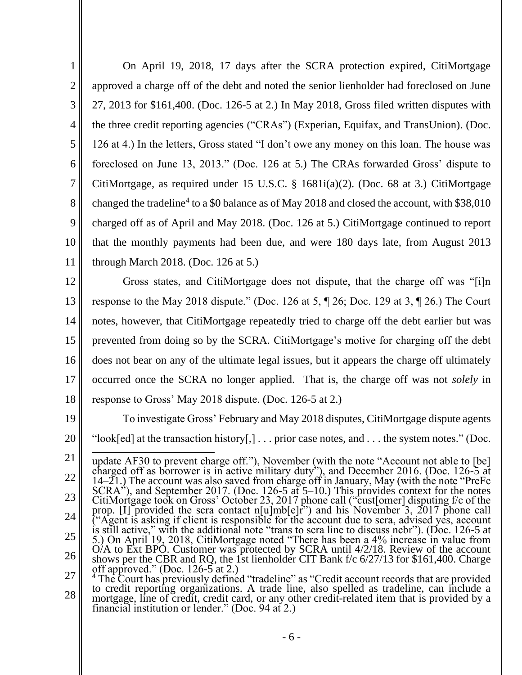1 2 3 4 5 6 7 8 9 10 11 On April 19, 2018, 17 days after the SCRA protection expired, CitiMortgage approved a charge off of the debt and noted the senior lienholder had foreclosed on June 27, 2013 for \$161,400. (Doc. 126-5 at 2.) In May 2018, Gross filed written disputes with the three credit reporting agencies ("CRAs") (Experian, Equifax, and TransUnion). (Doc. 126 at 4.) In the letters, Gross stated "I don't owe any money on this loan. The house was foreclosed on June 13, 2013." (Doc. 126 at 5.) The CRAs forwarded Gross' dispute to CitiMortgage, as required under 15 U.S.C. § 1681i(a)(2). (Doc. 68 at 3.) CitiMortgage changed the tradeline<sup>4</sup> to a \$0 balance as of May 2018 and closed the account, with \$38,010 charged off as of April and May 2018. (Doc. 126 at 5.) CitiMortgage continued to report that the monthly payments had been due, and were 180 days late, from August 2013 through March 2018. (Doc. 126 at 5.)

12 13 14 15 16 17 18 Gross states, and CitiMortgage does not dispute, that the charge off was "[i]n response to the May 2018 dispute." (Doc. 126 at 5, ¶ 26; Doc. 129 at 3, ¶ 26.) The Court notes, however, that CitiMortgage repeatedly tried to charge off the debt earlier but was prevented from doing so by the SCRA. CitiMortgage's motive for charging off the debt does not bear on any of the ultimate legal issues, but it appears the charge off ultimately occurred once the SCRA no longer applied. That is, the charge off was not *solely* in response to Gross' May 2018 dispute. (Doc. 126-5 at 2.)

19 20 To investigate Gross' February and May 2018 disputes, CitiMortgage dispute agents "look[ed] at the transaction history[,] . . . prior case notes, and . . . the system notes." (Doc.

<sup>21</sup> 22 23 24 25 26 27 update AF30 to prevent charge off."), November (with the note "Account not able to [be] charged off as borrower is in active military duty"), and December 2016. (Doc. 126-5 at 14–21.) The account was also saved from charge off in January, May (with the note "PreFc"  $SCRA^{\prime\prime}$ ), and September 2017. (Doc. 126-5 at 5–10.) This provides context for the notes CitiMortgage took on Gross' October 23, 2017 phone call ("cust[omer] disputing f/c of the prop. [I] provided the scra contact n[u]mb[e]r<sup>33</sup> and his November 3, 2017 phone call ("Agent is asking if client is responsible for the account due to scra, advised yes, account is still active," with the additional note "trans to scra line to discuss ncbr"). (Doc. 126-5 at 5.) On April 19, 2018, CitiMortgage noted "There has been a 4% increase in value from  $O/A$  to Ext BPO. Customer was protected by SCRA until  $4/2/18$ . Review of the account shows per the CBR and RQ, the 1st lienholder CIT Bank f/c 6/27/13 for \$161,400. Charge off approved." (Doc. 126-5 at 2.)

<sup>28</sup> <sup>4</sup> The Court has previously defined "tradeline" as "Credit account records that are provided to credit reporting organizations. A trade line, also spelled as tradeline, can include a mortgage, line of credit, credit card, or any other credit-related item that is provided by a financial institution or lender." (Doc. 94 at 2.)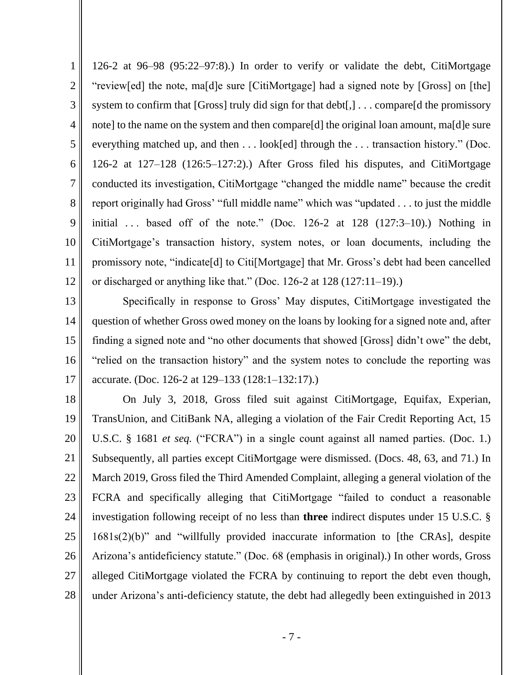1 2 3 4 5 6 7 8 9 10 11 12 126-2 at 96–98 (95:22–97:8).) In order to verify or validate the debt, CitiMortgage "review[ed] the note, ma[d]e sure [CitiMortgage] had a signed note by [Gross] on [the] system to confirm that [Gross] truly did sign for that debt[,] ... compare[d the promissory note] to the name on the system and then compare[d] the original loan amount, ma[d]e sure everything matched up, and then . . . look[ed] through the . . . transaction history." (Doc. 126-2 at 127–128 (126:5–127:2).) After Gross filed his disputes, and CitiMortgage conducted its investigation, CitiMortgage "changed the middle name" because the credit report originally had Gross' "full middle name" which was "updated . . . to just the middle initial  $\ldots$  based off of the note." (Doc. 126-2 at 128 (127:3–10).) Nothing in CitiMortgage's transaction history, system notes, or loan documents, including the promissory note, "indicate[d] to Citi[Mortgage] that Mr. Gross's debt had been cancelled or discharged or anything like that." (Doc. 126-2 at 128 (127:11–19).)

13 14 15 16 17 Specifically in response to Gross' May disputes, CitiMortgage investigated the question of whether Gross owed money on the loans by looking for a signed note and, after finding a signed note and "no other documents that showed [Gross] didn't owe" the debt, "relied on the transaction history" and the system notes to conclude the reporting was accurate. (Doc. 126-2 at 129–133 (128:1–132:17).)

18 19 20 21 22 23 24 25 26 27 28 On July 3, 2018, Gross filed suit against CitiMortgage, Equifax, Experian, TransUnion, and CitiBank NA, alleging a violation of the Fair Credit Reporting Act, 15 U.S.C. § 1681 *et seq.* ("FCRA") in a single count against all named parties. (Doc. 1.) Subsequently, all parties except CitiMortgage were dismissed. (Docs. 48, 63, and 71.) In March 2019, Gross filed the Third Amended Complaint, alleging a general violation of the FCRA and specifically alleging that CitiMortgage "failed to conduct a reasonable investigation following receipt of no less than **three** indirect disputes under 15 U.S.C. § 1681s(2)(b)" and "willfully provided inaccurate information to [the CRAs], despite Arizona's antideficiency statute." (Doc. 68 (emphasis in original).) In other words, Gross alleged CitiMortgage violated the FCRA by continuing to report the debt even though, under Arizona's anti-deficiency statute, the debt had allegedly been extinguished in 2013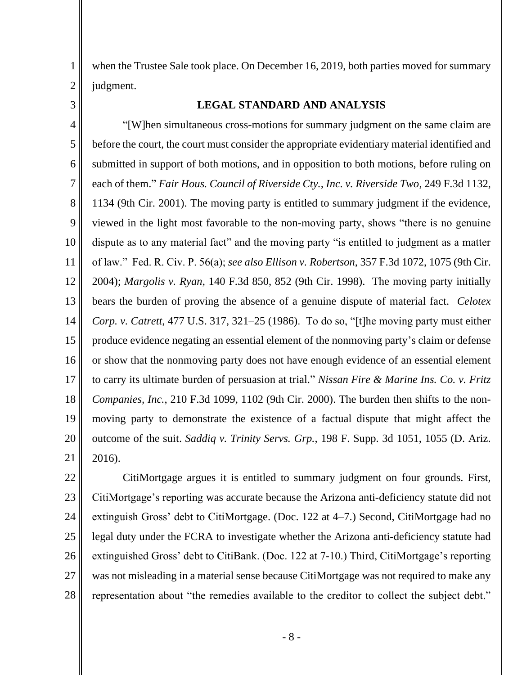when the Trustee Sale took place. On December 16, 2019, both parties moved for summary judgment.

## **LEGAL STANDARD AND ANALYSIS**

4 5 6 7 8 9 12 13 14 15 16 17 18 19 20 21 "[W]hen simultaneous cross-motions for summary judgment on the same claim are before the court, the court must consider the appropriate evidentiary material identified and submitted in support of both motions, and in opposition to both motions, before ruling on each of them." *Fair Hous. Council of Riverside Cty., Inc. v. Riverside Two*, 249 F.3d 1132, 1134 (9th Cir. 2001). The moving party is entitled to summary judgment if the evidence, viewed in the light most favorable to the non-moving party, shows "there is no genuine dispute as to any material fact" and the moving party "is entitled to judgment as a matter of law." Fed. R. Civ. P. 56(a); *see also Ellison v. Robertson*, 357 F.3d 1072, 1075 (9th Cir. 2004); *Margolis v. Ryan*, 140 F.3d 850, 852 (9th Cir. 1998). The moving party initially bears the burden of proving the absence of a genuine dispute of material fact. *Celotex Corp. v. Catrett*, 477 U.S. 317, 321–25 (1986). To do so, "[t]he moving party must either produce evidence negating an essential element of the nonmoving party's claim or defense or show that the nonmoving party does not have enough evidence of an essential element to carry its ultimate burden of persuasion at trial." *Nissan Fire & Marine Ins. Co. v. Fritz Companies, Inc.*, 210 F.3d 1099, 1102 (9th Cir. 2000). The burden then shifts to the nonmoving party to demonstrate the existence of a factual dispute that might affect the outcome of the suit. *Saddiq v. Trinity Servs. Grp.*, 198 F. Supp. 3d 1051, 1055 (D. Ariz. 2016).

22 23 24 25 26 27 28 CitiMortgage argues it is entitled to summary judgment on four grounds. First, CitiMortgage's reporting was accurate because the Arizona anti-deficiency statute did not extinguish Gross' debt to CitiMortgage. (Doc. 122 at 4–7.) Second, CitiMortgage had no legal duty under the FCRA to investigate whether the Arizona anti-deficiency statute had extinguished Gross' debt to CitiBank. (Doc. 122 at 7-10.) Third, CitiMortgage's reporting was not misleading in a material sense because CitiMortgage was not required to make any representation about "the remedies available to the creditor to collect the subject debt."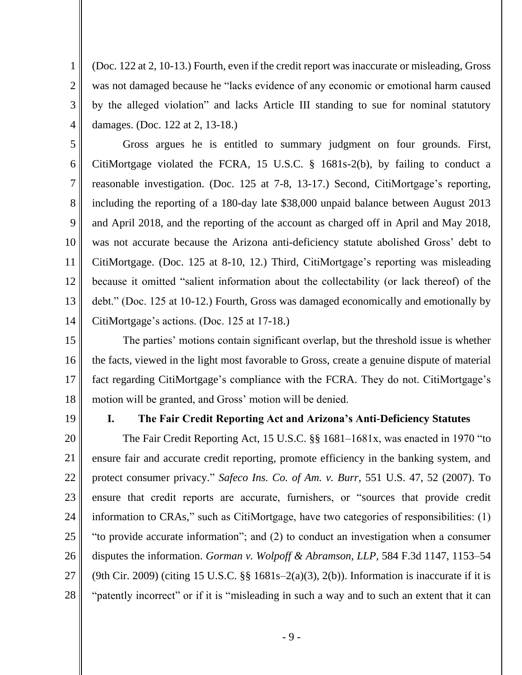(Doc. 122 at 2, 10-13.) Fourth, even if the credit report was inaccurate or misleading, Gross was not damaged because he "lacks evidence of any economic or emotional harm caused by the alleged violation" and lacks Article III standing to sue for nominal statutory damages. (Doc. 122 at 2, 13-18.)

5 6 7 8 9 10 11 12 13 14 Gross argues he is entitled to summary judgment on four grounds. First, CitiMortgage violated the FCRA, 15 U.S.C. § 1681s-2(b), by failing to conduct a reasonable investigation. (Doc. 125 at 7-8, 13-17.) Second, CitiMortgage's reporting, including the reporting of a 180-day late \$38,000 unpaid balance between August 2013 and April 2018, and the reporting of the account as charged off in April and May 2018, was not accurate because the Arizona anti-deficiency statute abolished Gross' debt to CitiMortgage. (Doc. 125 at 8-10, 12.) Third, CitiMortgage's reporting was misleading because it omitted "salient information about the collectability (or lack thereof) of the debt." (Doc. 125 at 10-12.) Fourth, Gross was damaged economically and emotionally by CitiMortgage's actions. (Doc. 125 at 17-18.)

15 16 17 18 The parties' motions contain significant overlap, but the threshold issue is whether the facts, viewed in the light most favorable to Gross, create a genuine dispute of material fact regarding CitiMortgage's compliance with the FCRA. They do not. CitiMortgage's motion will be granted, and Gross' motion will be denied.

19

1

2

3

4

## **I. The Fair Credit Reporting Act and Arizona's Anti-Deficiency Statutes**

20 21 22 23 24 25 26 27 28 The Fair Credit Reporting Act, 15 U.S.C. §§ 1681–1681x, was enacted in 1970 "to ensure fair and accurate credit reporting, promote efficiency in the banking system, and protect consumer privacy." *Safeco Ins. Co. of Am. v. Burr*, 551 U.S. 47, 52 (2007). To ensure that credit reports are accurate, furnishers, or "sources that provide credit information to CRAs," such as CitiMortgage, have two categories of responsibilities: (1) "to provide accurate information"; and (2) to conduct an investigation when a consumer disputes the information. *Gorman v. Wolpoff & Abramson, LLP*, 584 F.3d 1147, 1153–54 (9th Cir. 2009) (citing 15 U.S.C.  $\S$  1681s–2(a)(3), 2(b)). Information is inaccurate if it is "patently incorrect" or if it is "misleading in such a way and to such an extent that it can

- 9 -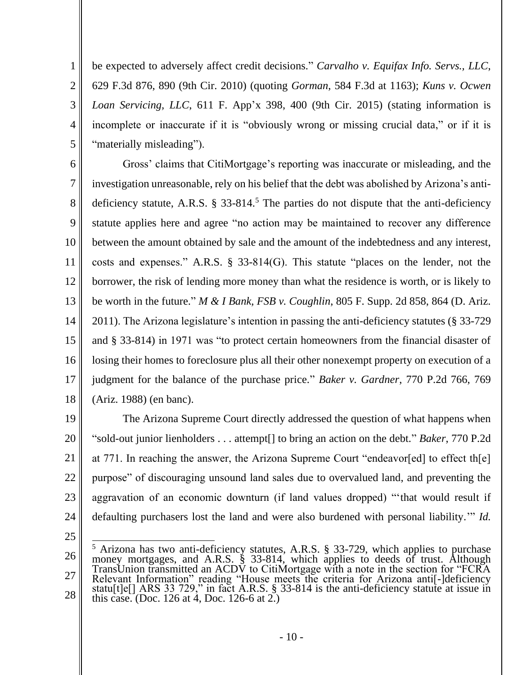be expected to adversely affect credit decisions." *Carvalho v. Equifax Info. Servs., LLC*, 629 F.3d 876, 890 (9th Cir. 2010) (quoting *Gorman*, 584 F.3d at 1163); *Kuns v. Ocwen Loan Servicing, LLC*, 611 F. App'x 398, 400 (9th Cir. 2015) (stating information is incomplete or inaccurate if it is "obviously wrong or missing crucial data," or if it is "materially misleading").

6 7 8 9 10 11 12 13 14 15 16 17 18 Gross' claims that CitiMortgage's reporting was inaccurate or misleading, and the investigation unreasonable, rely on his belief that the debt was abolished by Arizona's antideficiency statute, A.R.S.  $\S$  33-814.<sup>5</sup> The parties do not dispute that the anti-deficiency statute applies here and agree "no action may be maintained to recover any difference between the amount obtained by sale and the amount of the indebtedness and any interest, costs and expenses." A.R.S. § 33-814(G). This statute "places on the lender, not the borrower, the risk of lending more money than what the residence is worth, or is likely to be worth in the future." *M & I Bank, FSB v. Coughlin*, 805 F. Supp. 2d 858, 864 (D. Ariz. 2011). The Arizona legislature's intention in passing the anti-deficiency statutes (§ 33-729 and § 33-814) in 1971 was "to protect certain homeowners from the financial disaster of losing their homes to foreclosure plus all their other nonexempt property on execution of a judgment for the balance of the purchase price." *Baker v. Gardner*, 770 P.2d 766, 769 (Ariz. 1988) (en banc).

19 20 21 22 23 24 The Arizona Supreme Court directly addressed the question of what happens when "sold-out junior lienholders . . . attempt[] to bring an action on the debt." *Baker*, 770 P.2d at 771. In reaching the answer, the Arizona Supreme Court "endeavor[ed] to effect th[e] purpose" of discouraging unsound land sales due to overvalued land, and preventing the aggravation of an economic downturn (if land values dropped) "'that would result if defaulting purchasers lost the land and were also burdened with personal liability.'" *Id.*

25

1

2

3

4

5

<sup>26</sup> 27 28  $5$  Arizona has two anti-deficiency statutes, A.R.S. § 33-729, which applies to purchase money mortgages, and A.R.S. § 33-814, which applies to deeds of trust. Although TransUnion transmitted an ACDV to CitiMortgage with a note in the section for "FCRA Relevant Information" reading "House meets the criteria for Arizona anti[-]deficiency statu[t]e[] ARS 33 729," in fact A.R.S. § 33-814 is the anti-deficiency statute at issue in this case. (Doc. 126 at  $4$ , Doc. 126-6 at  $2$ .)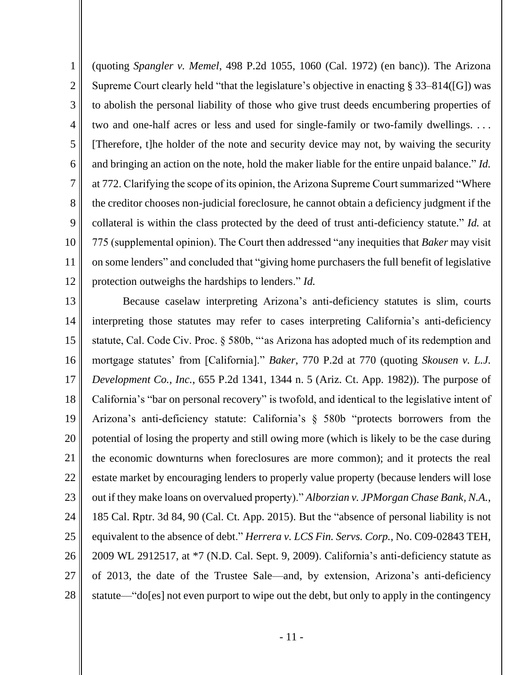1 2 3 4 5 6 7 8 9 10 11 12 (quoting *Spangler v. Memel*, 498 P.2d 1055, 1060 (Cal. 1972) (en banc)). The Arizona Supreme Court clearly held "that the legislature's objective in enacting § 33–814([G]) was to abolish the personal liability of those who give trust deeds encumbering properties of two and one-half acres or less and used for single-family or two-family dwellings. . . . [Therefore, t]he holder of the note and security device may not, by waiving the security and bringing an action on the note, hold the maker liable for the entire unpaid balance." *Id.* at 772. Clarifying the scope of its opinion, the Arizona Supreme Court summarized "Where the creditor chooses non-judicial foreclosure, he cannot obtain a deficiency judgment if the collateral is within the class protected by the deed of trust anti-deficiency statute." *Id.* at 775 (supplemental opinion). The Court then addressed "any inequities that *Baker* may visit on some lenders" and concluded that "giving home purchasers the full benefit of legislative protection outweighs the hardships to lenders." *Id.*

13 14 15 16 17 18 19 20 21 22 23 24 25 26 27 28 Because caselaw interpreting Arizona's anti-deficiency statutes is slim, courts interpreting those statutes may refer to cases interpreting California's anti-deficiency statute, Cal. Code Civ. Proc. § 580b, "'as Arizona has adopted much of its redemption and mortgage statutes' from [California]." *Baker*, 770 P.2d at 770 (quoting *Skousen v. L.J. Development Co., Inc.*, 655 P.2d 1341, 1344 n. 5 (Ariz. Ct. App. 1982)). The purpose of California's "bar on personal recovery" is twofold, and identical to the legislative intent of Arizona's anti-deficiency statute: California's § 580b "protects borrowers from the potential of losing the property and still owing more (which is likely to be the case during the economic downturns when foreclosures are more common); and it protects the real estate market by encouraging lenders to properly value property (because lenders will lose out if they make loans on overvalued property)." *Alborzian v. JPMorgan Chase Bank, N.A.*, 185 Cal. Rptr. 3d 84, 90 (Cal. Ct. App. 2015). But the "absence of personal liability is not equivalent to the absence of debt." *Herrera v. LCS Fin. Servs. Corp.*, No. C09-02843 TEH, 2009 WL 2912517, at \*7 (N.D. Cal. Sept. 9, 2009). California's anti-deficiency statute as of 2013, the date of the Trustee Sale—and, by extension, Arizona's anti-deficiency statute—"do[es] not even purport to wipe out the debt, but only to apply in the contingency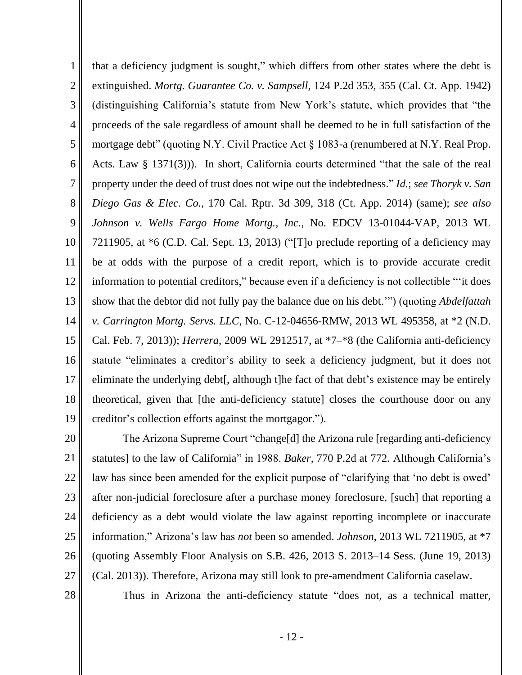1 2 3 4 5 6 7 8 9 10 11 12 13 14 15 16 17 18 19 that a deficiency judgment is sought," which differs from other states where the debt is extinguished. *Mortg. Guarantee Co. v. Sampsell*, 124 P.2d 353, 355 (Cal. Ct. App. 1942) (distinguishing California's statute from New York's statute, which provides that "the proceeds of the sale regardless of amount shall be deemed to be in full satisfaction of the mortgage debt" (quoting N.Y. Civil Practice Act § 1083-a (renumbered at N.Y. Real Prop. Acts. Law § 1371(3))). In short, California courts determined "that the sale of the real property under the deed of trust does not wipe out the indebtedness." *Id.*; *see Thoryk v. San Diego Gas & Elec. Co.*, 170 Cal. Rptr. 3d 309, 318 (Ct. App. 2014) (same); *see also Johnson v. Wells Fargo Home Mortg., Inc.*, No. EDCV 13-01044-VAP, 2013 WL 7211905, at \*6 (C.D. Cal. Sept. 13, 2013) ("[T]o preclude reporting of a deficiency may be at odds with the purpose of a credit report, which is to provide accurate credit information to potential creditors," because even if a deficiency is not collectible "'it does show that the debtor did not fully pay the balance due on his debt.'") (quoting *Abdelfattah v. Carrington Mortg. Servs. LLC*, No. C-12-04656-RMW, 2013 WL 495358, at \*2 (N.D. Cal. Feb. 7, 2013)); *Herrera*, 2009 WL 2912517, at \*7–\*8 (the California anti-deficiency statute "eliminates a creditor's ability to seek a deficiency judgment, but it does not eliminate the underlying debt[, although t]he fact of that debt's existence may be entirely theoretical, given that [the anti-deficiency statute] closes the courthouse door on any creditor's collection efforts against the mortgagor.").

20 21 22 23 24 25 26 27 The Arizona Supreme Court "change[d] the Arizona rule [regarding anti-deficiency statutes] to the law of California" in 1988. *Baker*, 770 P.2d at 772. Although California's law has since been amended for the explicit purpose of "clarifying that 'no debt is owed' after non-judicial foreclosure after a purchase money foreclosure, [such] that reporting a deficiency as a debt would violate the law against reporting incomplete or inaccurate information," Arizona's law has *not* been so amended. *Johnson*, 2013 WL 7211905, at \*7 (quoting Assembly Floor Analysis on S.B. 426, 2013 S. 2013–14 Sess. (June 19, 2013) (Cal. 2013)). Therefore, Arizona may still look to pre-amendment California caselaw.

28

Thus in Arizona the anti-deficiency statute "does not, as a technical matter,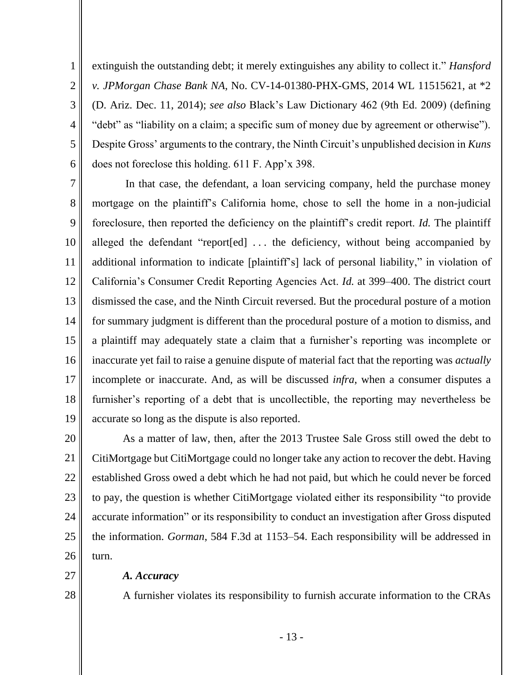extinguish the outstanding debt; it merely extinguishes any ability to collect it." *Hansford v. JPMorgan Chase Bank NA*, No. CV-14-01380-PHX-GMS, 2014 WL 11515621, at \*2 (D. Ariz. Dec. 11, 2014); *see also* Black's Law Dictionary 462 (9th Ed. 2009) (defining "debt" as "liability on a claim; a specific sum of money due by agreement or otherwise"). Despite Gross' arguments to the contrary, the Ninth Circuit's unpublished decision in *Kuns* does not foreclose this holding. 611 F. App'x 398.

7 8 9 10 11 12 13 14 15 16 17 18 19 In that case, the defendant, a loan servicing company, held the purchase money mortgage on the plaintiff's California home, chose to sell the home in a non-judicial foreclosure, then reported the deficiency on the plaintiff's credit report. *Id.* The plaintiff alleged the defendant "report[ed] . . . the deficiency, without being accompanied by additional information to indicate [plaintiff's] lack of personal liability," in violation of California's Consumer Credit Reporting Agencies Act. *Id.* at 399–400. The district court dismissed the case, and the Ninth Circuit reversed. But the procedural posture of a motion for summary judgment is different than the procedural posture of a motion to dismiss, and a plaintiff may adequately state a claim that a furnisher's reporting was incomplete or inaccurate yet fail to raise a genuine dispute of material fact that the reporting was *actually* incomplete or inaccurate. And, as will be discussed *infra*, when a consumer disputes a furnisher's reporting of a debt that is uncollectible, the reporting may nevertheless be accurate so long as the dispute is also reported.

20 21 22 23 24 25 26 As a matter of law, then, after the 2013 Trustee Sale Gross still owed the debt to CitiMortgage but CitiMortgage could no longer take any action to recover the debt. Having established Gross owed a debt which he had not paid, but which he could never be forced to pay, the question is whether CitiMortgage violated either its responsibility "to provide accurate information" or its responsibility to conduct an investigation after Gross disputed the information. *Gorman*, 584 F.3d at 1153–54. Each responsibility will be addressed in turn.

27

*A. Accuracy*

1

2

3

4

5

6

28

A furnisher violates its responsibility to furnish accurate information to the CRAs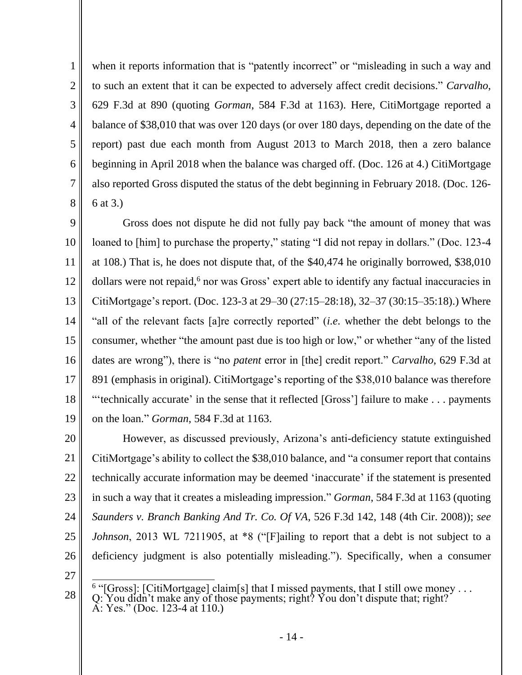2 3 4

5

6

7

8

1

when it reports information that is "patently incorrect" or "misleading in such a way and to such an extent that it can be expected to adversely affect credit decisions." *Carvalho*, 629 F.3d at 890 (quoting *Gorman*, 584 F.3d at 1163). Here, CitiMortgage reported a balance of \$38,010 that was over 120 days (or over 180 days, depending on the date of the report) past due each month from August 2013 to March 2018, then a zero balance beginning in April 2018 when the balance was charged off. (Doc. 126 at 4.) CitiMortgage also reported Gross disputed the status of the debt beginning in February 2018. (Doc. 126- 6 at 3.)

9 10 11 12 13 14 15 16 17 18 19 Gross does not dispute he did not fully pay back "the amount of money that was loaned to [him] to purchase the property," stating "I did not repay in dollars." (Doc. 123-4) at 108.) That is, he does not dispute that, of the \$40,474 he originally borrowed, \$38,010 dollars were not repaid,<sup>6</sup> nor was Gross' expert able to identify any factual inaccuracies in CitiMortgage's report. (Doc. 123-3 at 29–30 (27:15–28:18), 32–37 (30:15–35:18).) Where "all of the relevant facts [a]re correctly reported" (*i.e.* whether the debt belongs to the consumer, whether "the amount past due is too high or low," or whether "any of the listed dates are wrong"), there is "no *patent* error in [the] credit report." *Carvalho*, 629 F.3d at 891 (emphasis in original). CitiMortgage's reporting of the \$38,010 balance was therefore "'technically accurate' in the sense that it reflected [Gross'] failure to make . . . payments on the loan." *Gorman*, 584 F.3d at 1163.

20 21 22 23 24 25 26 However, as discussed previously, Arizona's anti-deficiency statute extinguished CitiMortgage's ability to collect the \$38,010 balance, and "a consumer report that contains technically accurate information may be deemed 'inaccurate' if the statement is presented in such a way that it creates a misleading impression." *Gorman*, 584 F.3d at 1163 (quoting *Saunders v. Branch Banking And Tr. Co. Of VA*, 526 F.3d 142, 148 (4th Cir. 2008)); *see Johnson*, 2013 WL 7211905, at \*8 ("[F]ailing to report that a debt is not subject to a deficiency judgment is also potentially misleading."). Specifically, when a consumer

27

28

<sup>&</sup>lt;sup>6</sup> "[Gross]: [CitiMortgage] claim[s] that I missed payments, that I still owe money . . . Q: You didn't make any of those payments; right? You don't dispute that; right? A: Yes." (Doc. 123-4 at 110.)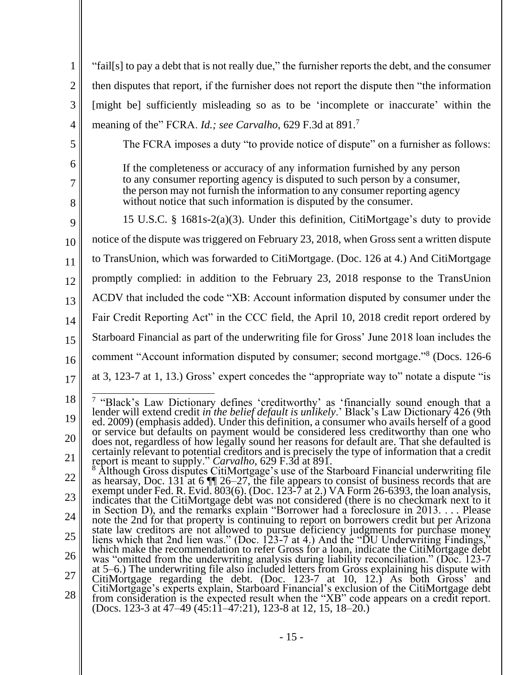| 1              | "fail[s] to pay a debt that is not really due," the furnisher reports the debt, and the consumer                                                                                                                                                                                                             |  |
|----------------|--------------------------------------------------------------------------------------------------------------------------------------------------------------------------------------------------------------------------------------------------------------------------------------------------------------|--|
| $\overline{2}$ | then disputes that report, if the furnisher does not report the dispute then "the information"                                                                                                                                                                                                               |  |
| 3              | [might be] sufficiently misleading so as to be 'incomplete or inaccurate' within the                                                                                                                                                                                                                         |  |
| $\overline{4}$ | meaning of the" FCRA. Id.; see Carvalho, 629 F.3d at 891. <sup>7</sup>                                                                                                                                                                                                                                       |  |
| 5              | The FCRA imposes a duty "to provide notice of dispute" on a furnisher as follows:                                                                                                                                                                                                                            |  |
| 6<br>7         | If the completeness or accuracy of any information furnished by any person<br>to any consumer reporting agency is disputed to such person by a consumer,<br>the person may not furnish the information to any consumer reporting agency<br>without notice that such information is disputed by the consumer. |  |
| 8              |                                                                                                                                                                                                                                                                                                              |  |
| 9              | 15 U.S.C. § 1681s-2(a)(3). Under this definition, CitiMortgage's duty to provide                                                                                                                                                                                                                             |  |
| 10             | notice of the dispute was triggered on February 23, 2018, when Gross sent a written dispute                                                                                                                                                                                                                  |  |
| 11             | to TransUnion, which was forwarded to CitiMortgage. (Doc. 126 at 4.) And CitiMortgage                                                                                                                                                                                                                        |  |
| 12             | promptly complied: in addition to the February 23, 2018 response to the TransUnion                                                                                                                                                                                                                           |  |
| 13             | ACDV that included the code "XB: Account information disputed by consumer under the                                                                                                                                                                                                                          |  |
| 14             | Fair Credit Reporting Act" in the CCC field, the April 10, 2018 credit report ordered by                                                                                                                                                                                                                     |  |
| 15             | Starboard Financial as part of the underwriting file for Gross' June 2018 loan includes the                                                                                                                                                                                                                  |  |
| 16             | comment "Account information disputed by consumer; second mortgage." <sup>8</sup> (Docs. 126-6)                                                                                                                                                                                                              |  |
| 17             | at 3, 123-7 at 1, 13.) Gross' expert concedes the "appropriate way to" notate a dispute "is                                                                                                                                                                                                                  |  |
| 18             | <sup>7</sup> "Black's Law Dictionary defines 'creditworthy' as 'financially sound enough that a                                                                                                                                                                                                              |  |
| 19             | lender will extend credit in the belief default is unlikely.' Black's Law Dictionary 426 (9th<br>ed. 2009) (emphasis added). Under this definition, a consumer who avails herself of a good                                                                                                                  |  |
| 20             | or service but defaults on payment would be considered less creditworthy than one who<br>does not, regardless of how legally sound her reasons for default are. That she defaulted is                                                                                                                        |  |
| 21             | certainly relevant to potential creditors and is precisely the type of information that a credit<br>report is meant to supply." Carvalho, 629 F.3d at 891.                                                                                                                                                   |  |
| 22             | Although Gross disputes CitiMortgage's use of the Starboard Financial underwriting file<br>as hearsay, Doc. 131 at 6 $\P$ 26–27, the file appears to consist of business records that are                                                                                                                    |  |
| 23             | exempt under Fed. R. Evid. $803(6)$ . (Doc. 123-7 at 2.) VA Form 26-6393, the loan analysis,<br>indicates that the CitiMortgage debt was not considered (there is no checkmark next to it                                                                                                                    |  |
| 24             | in Section D), and the remarks explain "Borrower had a foreclosure in $2013$ Please<br>note the 2nd for that property is continuing to report on borrowers credit but per Arizona                                                                                                                            |  |
| 25             | state law creditors are not allowed to pursue deficiency judgments for purchase money<br>liens which that 2nd lien was." (Doc. 123-7 at 4.) And the "DU Underwriting Findings,"                                                                                                                              |  |
| 26             | which make the recommendation to refer Gross for a loan, indicate the CitiMortgage debt<br>was "omitted from the underwriting analysis during liability reconciliation." (Doc. 123-7)                                                                                                                        |  |
| 27             | at $5-6$ .) The underwriting file also included letters from Gross explaining his dispute with<br>CitiMortgage regarding the debt. (Doc. 123-7 at 10, 12.) As both Gross' and                                                                                                                                |  |
| 28             | CitiMortgage's experts explain, Starboard Financial's exclusion of the CitiMortgage debt<br>from consideration is the expected result when the "XB" code appears on a credit report.<br>(Docs. 123-3 at 47–49 (45:11–47:21), 123-8 at 12, 15, 18–20.)                                                        |  |
|                |                                                                                                                                                                                                                                                                                                              |  |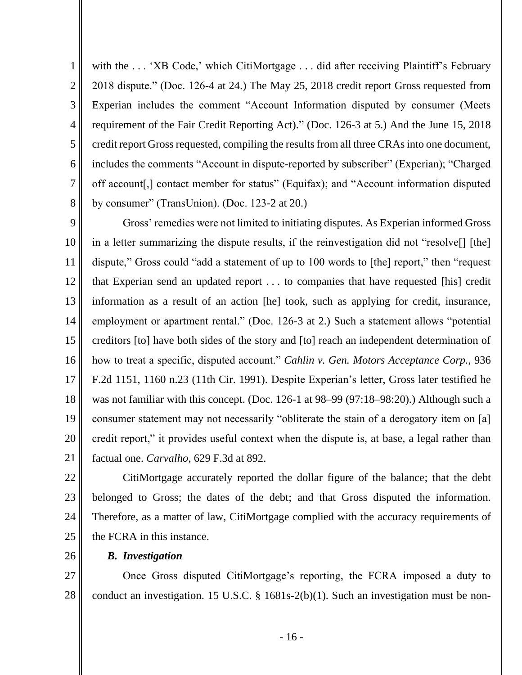1 2 3 4 5 6 7 8 with the ... 'XB Code,' which CitiMortgage ... did after receiving Plaintiff's February 2018 dispute." (Doc. 126-4 at 24.) The May 25, 2018 credit report Gross requested from Experian includes the comment "Account Information disputed by consumer (Meets requirement of the Fair Credit Reporting Act)." (Doc. 126-3 at 5.) And the June 15, 2018 credit report Gross requested, compiling the results from all three CRAs into one document, includes the comments "Account in dispute-reported by subscriber" (Experian); "Charged off account[,] contact member for status" (Equifax); and "Account information disputed by consumer" (TransUnion). (Doc. 123-2 at 20.)

9 10 11 12 13 14 15 16 17 18 19 20 21 Gross' remedies were not limited to initiating disputes. As Experian informed Gross in a letter summarizing the dispute results, if the reinvestigation did not "resolve[] [the] dispute," Gross could "add a statement of up to 100 words to [the] report," then "request that Experian send an updated report . . . to companies that have requested [his] credit information as a result of an action [he] took, such as applying for credit, insurance, employment or apartment rental." (Doc. 126-3 at 2.) Such a statement allows "potential creditors [to] have both sides of the story and [to] reach an independent determination of how to treat a specific, disputed account." *Cahlin v. Gen. Motors Acceptance Corp.*, 936 F.2d 1151, 1160 n.23 (11th Cir. 1991). Despite Experian's letter, Gross later testified he was not familiar with this concept. (Doc. 126-1 at 98–99 (97:18–98:20).) Although such a consumer statement may not necessarily "obliterate the stain of a derogatory item on [a] credit report," it provides useful context when the dispute is, at base, a legal rather than factual one. *Carvalho*, 629 F.3d at 892.

22

23 24 25 CitiMortgage accurately reported the dollar figure of the balance; that the debt belonged to Gross; the dates of the debt; and that Gross disputed the information. Therefore, as a matter of law, CitiMortgage complied with the accuracy requirements of the FCRA in this instance.

26

## *B. Investigation*

27 28 Once Gross disputed CitiMortgage's reporting, the FCRA imposed a duty to conduct an investigation. 15 U.S.C. § 1681s-2(b)(1). Such an investigation must be non-

- 16 -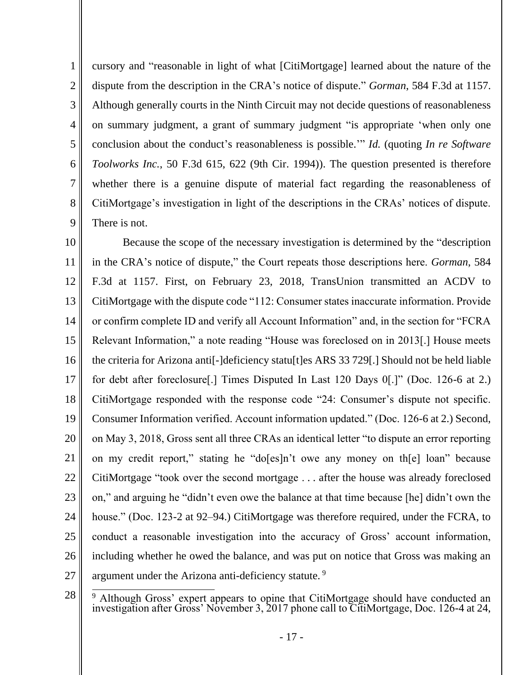6 cursory and "reasonable in light of what [CitiMortgage] learned about the nature of the dispute from the description in the CRA's notice of dispute." *Gorman*, 584 F.3d at 1157. Although generally courts in the Ninth Circuit may not decide questions of reasonableness on summary judgment, a grant of summary judgment "is appropriate 'when only one conclusion about the conduct's reasonableness is possible.'" *Id.* (quoting *In re Software Toolworks Inc.*, 50 F.3d 615, 622 (9th Cir. 1994)). The question presented is therefore whether there is a genuine dispute of material fact regarding the reasonableness of CitiMortgage's investigation in light of the descriptions in the CRAs' notices of dispute. There is not.

1

2

3

4

5

7

8

9

10 11 12 13 14 15 16 17 18 19 20 21 22 23 24 25 26 27 Because the scope of the necessary investigation is determined by the "description in the CRA's notice of dispute," the Court repeats those descriptions here. *Gorman*, 584 F.3d at 1157. First, on February 23, 2018, TransUnion transmitted an ACDV to CitiMortgage with the dispute code "112: Consumer states inaccurate information. Provide or confirm complete ID and verify all Account Information" and, in the section for "FCRA Relevant Information," a note reading "House was foreclosed on in 2013[.] House meets the criteria for Arizona anti[-]deficiency statu[t]es ARS 33 729[.] Should not be held liable for debt after foreclosure[.] Times Disputed In Last 120 Days 0[.]" (Doc. 126-6 at 2.) CitiMortgage responded with the response code "24: Consumer's dispute not specific. Consumer Information verified. Account information updated." (Doc. 126-6 at 2.) Second, on May 3, 2018, Gross sent all three CRAs an identical letter "to dispute an error reporting on my credit report," stating he "do[es]n't owe any money on th[e] loan" because CitiMortgage "took over the second mortgage . . . after the house was already foreclosed on," and arguing he "didn't even owe the balance at that time because [he] didn't own the house." (Doc. 123-2 at 92–94.) CitiMortgage was therefore required, under the FCRA, to conduct a reasonable investigation into the accuracy of Gross' account information, including whether he owed the balance, and was put on notice that Gross was making an argument under the Arizona anti-deficiency statute.<sup>9</sup>

<sup>28</sup> <sup>9</sup> Although Gross' expert appears to opine that CitiMortgage should have conducted an investigation after Gross' November 3, 2017 phone call to CitiMortgage, Doc. 126-4 at 24,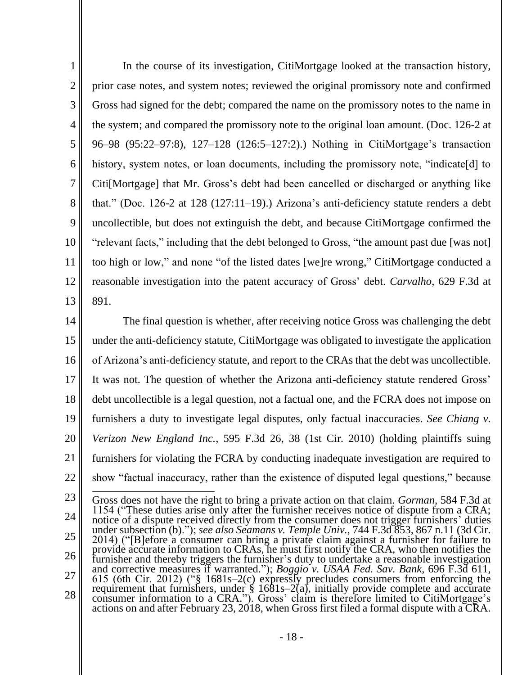1 2 3 4 5 6 7 8 9 10 11 12 13 In the course of its investigation, CitiMortgage looked at the transaction history, prior case notes, and system notes; reviewed the original promissory note and confirmed Gross had signed for the debt; compared the name on the promissory notes to the name in the system; and compared the promissory note to the original loan amount. (Doc. 126-2 at 96–98 (95:22–97:8), 127–128 (126:5–127:2).) Nothing in CitiMortgage's transaction history, system notes, or loan documents, including the promissory note, "indicate [d] to Citi[Mortgage] that Mr. Gross's debt had been cancelled or discharged or anything like that." (Doc. 126-2 at 128 (127:11–19).) Arizona's anti-deficiency statute renders a debt uncollectible, but does not extinguish the debt, and because CitiMortgage confirmed the "relevant facts," including that the debt belonged to Gross, "the amount past due [was not] too high or low," and none "of the listed dates [we]re wrong," CitiMortgage conducted a reasonable investigation into the patent accuracy of Gross' debt. *Carvalho*, 629 F.3d at 891.

14 15 16 17 18 19 20 21 22 The final question is whether, after receiving notice Gross was challenging the debt under the anti-deficiency statute, CitiMortgage was obligated to investigate the application of Arizona's anti-deficiency statute, and report to the CRAs that the debt was uncollectible. It was not. The question of whether the Arizona anti-deficiency statute rendered Gross' debt uncollectible is a legal question, not a factual one, and the FCRA does not impose on furnishers a duty to investigate legal disputes, only factual inaccuracies. *See Chiang v. Verizon New England Inc.*, 595 F.3d 26, 38 (1st Cir. 2010) (holding plaintiffs suing furnishers for violating the FCRA by conducting inadequate investigation are required to show "factual inaccuracy, rather than the existence of disputed legal questions," because

23 24 25 26 27 28 Gross does not have the right to bring a private action on that claim. *Gorman*, 584 F.3d at 1154 ("These duties arise only after the furnisher receives notice of dispute from a CRA; notice of a dispute received directly from the consumer does not trigger furnishers' duties under subsection (b)."); *see also Seamans v. Temple Univ.*, 744 F.3d 853, 867 n.11 (3d Cir. 2014) ("[B]efore a consumer can bring a private claim against a furnisher for failure to provide accurate information to CRAs, he must first notify the CRA, who then notifies the furnisher and thereby triggers the furnisher's duty to undertake a reasonable investigation and corrective measures if warranted."); *Boggio v. USAA Fed. Sav. Bank*, 696 F.3d 611, 615 (6th Cir. 2012) ("§ 1681s–2(c) expressly precludes consumers from enforcing the requirement that furnishers, under § 1681s–2(a), initially provide complete and accurate consumer information to a CRA."). Gross' claim is therefore limited to CitiMortgage's actions on and after February 23, 2018, when Gross first filed a formal dispute with a  $\rm CRA$ .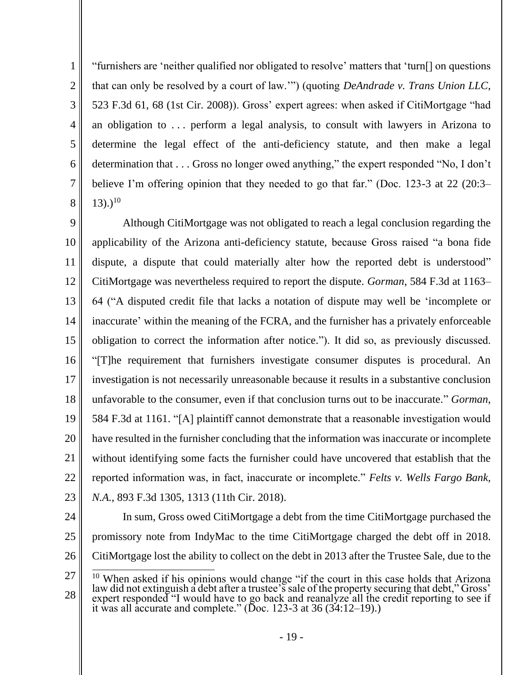"furnishers are 'neither qualified nor obligated to resolve' matters that 'turn[] on questions that can only be resolved by a court of law.'") (quoting *DeAndrade v. Trans Union LLC*, 523 F.3d 61, 68 (1st Cir. 2008)). Gross' expert agrees: when asked if CitiMortgage "had an obligation to . . . perform a legal analysis, to consult with lawyers in Arizona to determine the legal effect of the anti-deficiency statute, and then make a legal determination that . . . Gross no longer owed anything," the expert responded "No, I don't believe I'm offering opinion that they needed to go that far." (Doc. 123-3 at 22 (20:3–  $(13)$ .)<sup>10</sup>

9 10 11 12 13 14 15 16 17 18 19 20 21 22 23 Although CitiMortgage was not obligated to reach a legal conclusion regarding the applicability of the Arizona anti-deficiency statute, because Gross raised "a bona fide dispute, a dispute that could materially alter how the reported debt is understood" CitiMortgage was nevertheless required to report the dispute. *Gorman*, 584 F.3d at 1163– 64 ("A disputed credit file that lacks a notation of dispute may well be 'incomplete or inaccurate' within the meaning of the FCRA, and the furnisher has a privately enforceable obligation to correct the information after notice."). It did so, as previously discussed. "[T]he requirement that furnishers investigate consumer disputes is procedural. An investigation is not necessarily unreasonable because it results in a substantive conclusion unfavorable to the consumer, even if that conclusion turns out to be inaccurate." *Gorman*, 584 F.3d at 1161. "[A] plaintiff cannot demonstrate that a reasonable investigation would have resulted in the furnisher concluding that the information was inaccurate or incomplete without identifying some facts the furnisher could have uncovered that establish that the reported information was, in fact, inaccurate or incomplete." *Felts v. Wells Fargo Bank, N.A.*, 893 F.3d 1305, 1313 (11th Cir. 2018).

24

1

2

3

4

5

6

7

8

25 26 In sum, Gross owed CitiMortgage a debt from the time CitiMortgage purchased the promissory note from IndyMac to the time CitiMortgage charged the debt off in 2018. CitiMortgage lost the ability to collect on the debt in 2013 after the Trustee Sale, due to the

<sup>27</sup> 28 <sup>10</sup> When asked if his opinions would change "if the court in this case holds that Arizona law did not extinguish a debt after a trustee's sale of the property securing that debt," Gross' expert responded "I would have to go back and reanalyze all the credit reporting to see if it was all accurate and complete." (Doc. 123-3 at 36 (34:12–19).)